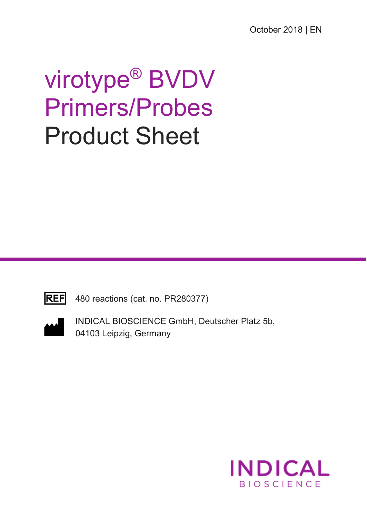# virotype® BVDV Primers/Probes Product Sheet



480 reactions (cat. no. PR280377)



INDICAL BIOSCIENCE GmbH, Deutscher Platz 5b, 04103 Leipzig, Germany

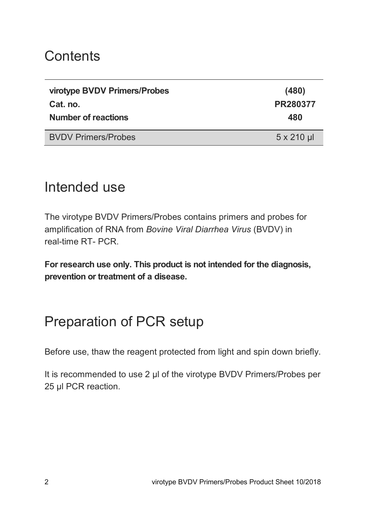### **Contents**

| virotype BVDV Primers/Probes<br>Cat. no.<br><b>Number of reactions</b> | (480)<br>PR280377<br>480 |
|------------------------------------------------------------------------|--------------------------|
| <b>BVDV Primers/Probes</b>                                             | $5 \times 210$ µl        |
|                                                                        |                          |

#### Intended use

The virotype BVDV Primers/Probes contains primers and probes for amplification of RNA from Bovine Viral Diarrhea Virus (BVDV) in real-time RT- PCR.

For research use only. This product is not intended for the diagnosis, prevention or treatment of a disease.

# Preparation of PCR setup

Before use, thaw the reagent protected from light and spin down briefly.

It is recommended to use 2 µl of the virotype BVDV Primers/Probes per 25 µl PCR reaction.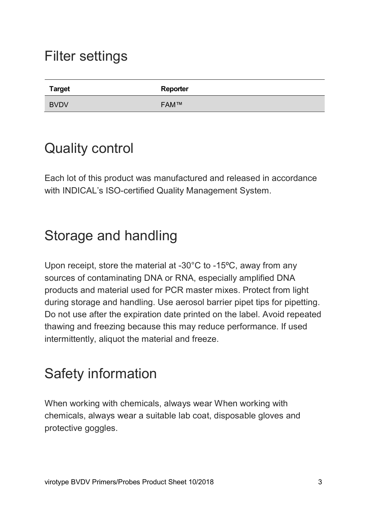#### Filter settings

| <b>Target</b> | Reporter    |
|---------------|-------------|
| <b>BVDV</b>   | <b>FAM™</b> |

#### Quality control

Each lot of this product was manufactured and released in accordance with INDICAL's ISO-certified Quality Management System.

# Storage and handling

Upon receipt, store the material at -30°C to -15ºC, away from any sources of contaminating DNA or RNA, especially amplified DNA products and material used for PCR master mixes. Protect from light during storage and handling. Use aerosol barrier pipet tips for pipetting. Do not use after the expiration date printed on the label. Avoid repeated thawing and freezing because this may reduce performance. If used intermittently, aliquot the material and freeze.

# Safety information

When working with chemicals, always wear When working with chemicals, always wear a suitable lab coat, disposable gloves and protective goggles.